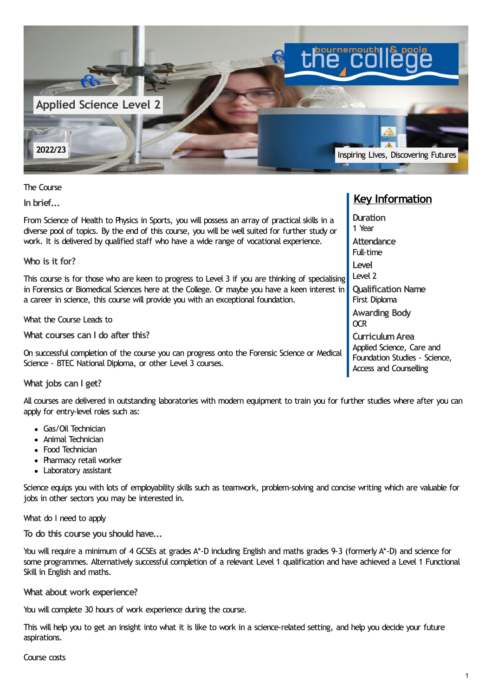

The Course

**In brief...**

From Science of Health to Physics in Sports, you will possess an array of practical skills in a diverse pool of topics. By the end of this course, you will be well suited for further study or work. It is delivered by qualified staff who have a wide range of vocational experience.

**Who is it for?**

This course is for those who are keen to progress to Level 3 if you are thinking of specialising in Forensics or Biomedical Sciences here at the College. Or maybe you have a keen interest in a career in science, this course will provide you with an exceptional foundation.

What the Course Leads to

**What courses can I do after this?**

On successful completion of the course you can progress onto the Forensic Science or Medical Science - BTEC National Diploma, or other Level 3 courses.

## **What jobs can I get?**

All courses are delivered in outstanding laboratories with modern equipment to train you for further studies where after you can apply for entry-level roles such as:

- Gas/Oil Technician
- Animal Technician
- Food Technician
- Pharmacy retail worker
- Laboratory assistant

Science equips you with lots of employability skills such as teamwork, problem-solving and concise writing which are valuable for jobs in other sectors you may be interested in.

#### What do I need to apply

**To do this course you should have...**

You will require a minimum of 4 GCSEs at grades A\*-D including English and maths grades 9-3 (formerly A\*-D) and science for some programmes. Alternatively successful completion of a relevant Level 1 qualification and have achieved a Level 1 Functional Skill in English and maths.

## **What about work experience?**

You will complete 30 hours of work experience during the course.

This will help you to get an insight into what it is like to work in a science-related setting, and help you decide your future aspirations.

## Course costs

# **Key Information**

**Duration** 1 Year **Attendance** Full-time **Level** Level 2 **Qualification Name** First Diploma **Awarding Body** OCR **CurriculumArea** Applied Science, Care and Foundation Studies - Science, Access and Counselling